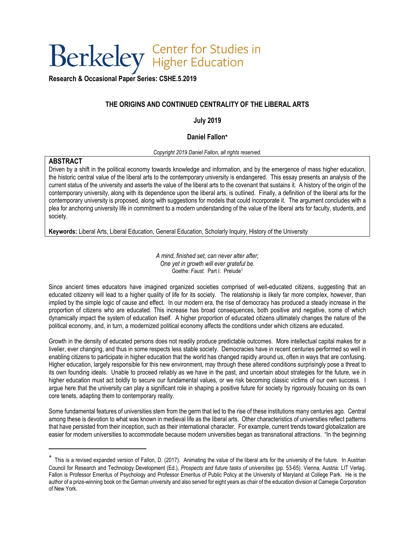# Berkeley Higher Education

**[Research & Occasional Paper Series:](https://cshe.berkeley.edu/publications/rops) CSHE.5.2019**

# **THE ORIGINS AND CONTINUED CENTRALITY OF THE LIBERAL ARTS**

# **July 2019**

# **Daniel Fallon**

#### *Copyright 2019 Daniel Fallon, all rights reserved.*

## **ABSTRACT**

 $\overline{a}$ 

Driven by a shift in the political economy towards knowledge and information, and by the emergence of mass higher education, the historic central value of the liberal arts to the contemporary university is endangered. This essay presents an analysis of the current status of the university and asserts the value of the liberal arts to the covenant that sustains it. A history of the origin of the contemporary university, along with its dependence upon the liberal arts, is outlined. Finally, a definition of the liberal arts for the contemporary university is proposed, along with suggestions for models that could incorporate it. The argument concludes with a plea for anchoring university life in commitment to a modern understanding of the value of the liberal arts for faculty, students, and society.

**Keywords:** Liberal Arts, Liberal Education, General Education, Scholarly Inquiry, History of the University

*A mind, finished set, can never alter after; One yet in growth will ever grateful be.* Goethe: *Faust.* Part I. Prelude<sup>1</sup>

Since ancient times educators have imagined organized societies comprised of well-educated citizens, suggesting that an educated citizenry will lead to a higher quality of life for its society. The relationship is likely far more complex, however, than implied by the simple logic of cause and effect. In our modern era, the rise of democracy has produced a steady increase in the proportion of citizens who are educated. This increase has broad consequences, both positive and negative, some of which dynamically impact the system of education itself. A higher proportion of educated citizens ultimately changes the nature of the political economy, and, in turn, a modernized political economy affects the conditions under which citizens are educated.

Growth in the density of educated persons does not readily produce predictable outcomes. More intellectual capital makes for a livelier, ever changing, and thus in some respects less stable society. Democracies have in recent centuries performed so well in enabling citizens to participate in higher education that the world has changed rapidly around us, often in ways that are confusing. Higher education, largely responsible for this new environment, may through these altered conditions surprisingly pose a threat to its own founding ideals. Unable to proceed reliably as we have in the past, and uncertain about strategies for the future, we in higher education must act boldly to secure our fundamental values, or we risk becoming classic victims of our own success. I argue here that the university can play a significant role in shaping a positive future for society by rigorously focusing on its own core tenets, adapting them to contemporary reality.

Some fundamental features of universities stem from the germ that led to the rise of these institutions many centuries ago. Central among these is devotion to what was known in medieval life as the liberal arts. Other characteristics of universities reflect patterns that have persisted from their inception, such as their international character. For example, current trends toward globalization are easier for modern universities to accommodate because modern universities began as transnational attractions. "In the beginning

This is a revised expanded version of Fallon, D. (2017). Animating the value of the liberal arts for the university of the future. In Austrian Council for Research and Technology Development (Ed.), *Prospects and future tasks of universities* (pp. 53-65). Vienna, Austria: LIT Verlag. Fallon is Professor Emeritus of Psychology and Professor Emeritus of Public Policy at the University of Maryland at College Park. He is the author of a prize-winning book on the German university and also served for eight years as chair of the education division at Carnegie Corporation of New York.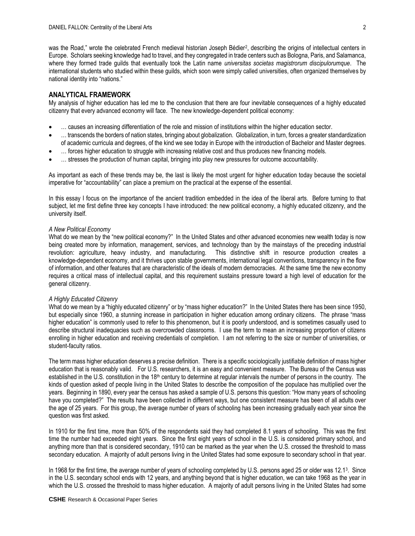was the Road," wrote the celebrated French medieval historian Joseph Bédier<sup>2</sup> , describing the origins of intellectual centers in Europe. Scholars seeking knowledge had to travel, and they congregated in trade centers such as Bologna, Paris, and Salamanca, where they formed trade guilds that eventually took the Latin name *universitas societas magistrorum discipulorumque*. The international students who studied within these guilds, which soon were simply called universities, often organized themselves by national identity into "nations."

#### **ANALYTICAL FRAMEWORK**

My analysis of higher education has led me to the conclusion that there are four inevitable consequences of a highly educated citizenry that every advanced economy will face. The new knowledge-dependent political economy:

- … causes an increasing differentiation of the role and mission of institutions within the higher education sector.
- … transcends the borders of nation states, bringing about globalization. Globalization, in turn, forces a greater standardization of academic curricula and degrees, of the kind we see today in Europe with the introduction of Bachelor and Master degrees.
- … forces higher education to struggle with increasing relative cost and thus produces new financing models.
- … stresses the production of human capital, bringing into play new pressures for outcome accountability.

As important as each of these trends may be, the last is likely the most urgent for higher education today because the societal imperative for "accountability" can place a premium on the practical at the expense of the essential.

In this essay I focus on the importance of the ancient tradition embedded in the idea of the liberal arts. Before turning to that subject, let me first define three key concepts I have introduced: the new political economy, a highly educated citizenry, and the university itself.

#### *A New Political Economy*

What do we mean by the "new political economy?" In the United States and other advanced economies new wealth today is now being created more by information, management, services, and technology than by the mainstays of the preceding industrial revolution: agriculture, heavy industry, and manufacturing. This distinctive shift in resource production creates a knowledge-dependent economy, and it thrives upon stable governments, international legal conventions, transparency in the flow of information, and other features that are characteristic of the ideals of modern democracies. At the same time the new economy requires a critical mass of intellectual capital, and this requirement sustains pressure toward a high level of education for the general citizenry.

#### *A Highly Educated Citizenry*

What do we mean by a "highly educated citizenry" or by "mass higher education?" In the United States there has been since 1950, but especially since 1960, a stunning increase in participation in higher education among ordinary citizens. The phrase "mass higher education" is commonly used to refer to this phenomenon, but it is poorly understood, and is sometimes casually used to describe structural inadequacies such as overcrowded classrooms. I use the term to mean an increasing proportion of citizens enrolling in higher education and receiving credentials of completion. I am not referring to the size or number of universities, or student-faculty ratios.

The term mass higher education deserves a precise definition. There is a specific sociologically justifiable definition of mass higher education that is reasonably valid. For U.S. researchers, it is an easy and convenient measure. The Bureau of the Census was established in the U.S. constitution in the  $18<sup>th</sup>$  century to determine at regular intervals the number of persons in the country. The kinds of question asked of people living in the United States to describe the composition of the populace has multiplied over the years. Beginning in 1890, every year the census has asked a sample of U.S. persons this question: "How many years of schooling have you completed?" The results have been collected in different ways, but one consistent measure has been of all adults over the age of 25 years. For this group, the average number of years of schooling has been increasing gradually each year since the question was first asked.

In 1910 for the first time, more than 50% of the respondents said they had completed 8.1 years of schooling. This was the first time the number had exceeded eight years. Since the first eight years of school in the U.S. is considered primary school, and anything more than that is considered secondary, 1910 can be marked as the year when the U.S. crossed the threshold to mass secondary education. A majority of adult persons living in the United States had some exposure to secondary school in that year.

In 1968 for the first time, the average number of years of schooling completed by U.S. persons aged 25 or older was 12.1<sup>3</sup>. Since in the U.S. secondary school ends with 12 years, and anything beyond that is higher education, we can take 1968 as the year in which the U.S. crossed the threshold to mass higher education. A majority of adult persons living in the United States had some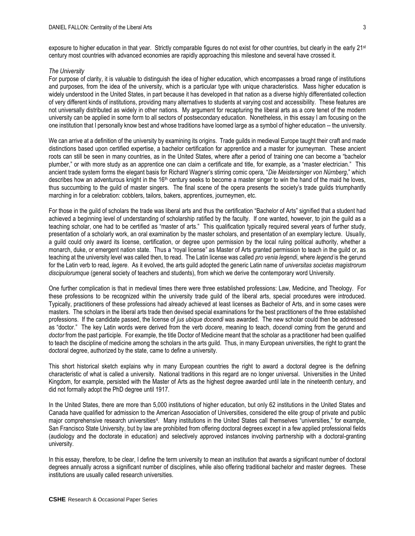exposure to higher education in that year. Strictly comparable figures do not exist for other countries, but clearly in the early 21<sup>st</sup> century most countries with advanced economies are rapidly approaching this milestone and several have crossed it.

#### *The University*

For purpose of clarity, it is valuable to distinguish the idea of higher education, which encompasses a broad range of institutions and purposes, from the idea of the university, which is a particular type with unique characteristics. Mass higher education is widely understood in the United States, in part because it has developed in that nation as a diverse highly differentiated collection of very different kinds of institutions, providing many alternatives to students at varying cost and accessibility. These features are not universally distributed as widely in other nations. My argument for recapturing the liberal arts as a core tenet of the modern university can be applied in some form to all sectors of postsecondary education. Nonetheless, in this essay I am focusing on the one institution that I personally know best and whose traditions have loomed large as a symbol of higher education -- the university.

We can arrive at a definition of the university by examining its origins. Trade guilds in medieval Europe taught their craft and made distinctions based upon certified expertise, a bachelor certification for apprentice and a master for journeyman. These ancient roots can still be seen in many countries, as in the United States, where after a period of training one can become a "bachelor plumber," or with more study as an apprentice one can claim a certificate and title, for example, as a "master electrician." This ancient trade system forms the elegant basis for Richard Wagner's stirring comic opera, "*Die Meistersinger von Nürnberg*," which describes how an adventurous knight in the  $16<sup>th</sup>$  century seeks to become a master singer to win the hand of the maid he loves, thus succumbing to the guild of master singers. The final scene of the opera presents the society's trade guilds triumphantly marching in for a celebration: cobblers, tailors, bakers, apprentices, journeymen, etc.

For those in the guild of scholars the trade was liberal arts and thus the certification "Bachelor of Arts" signified that a student had achieved a beginning level of understanding of scholarship ratified by the faculty. If one wanted, however, to join the guild as a teaching scholar, one had to be certified as "master of arts." This qualification typically required several years of further study, presentation of a scholarly work, an oral examination by the master scholars, and presentation of an exemplary lecture. Usually, a guild could only award its license, certification, or degree upon permission by the local ruling political authority, whether a monarch, duke, or emergent nation state. Thus a "royal license" as Master of Arts granted permission to teach in the guild or, as teaching at the university level was called then, to read. The Latin license was called *pro venia legendi*, where *legend* is the gerund for the Latin verb to read, *legere*. As it evolved, the arts guild adopted the generic Latin name of *universitas societas magistrorum discipulorumque* (general society of teachers and students), from which we derive the contemporary word University.

One further complication is that in medieval times there were three established professions: Law, Medicine, and Theology. For these professions to be recognized within the university trade guild of the liberal arts, special procedures were introduced. Typically, practitioners of these professions had already achieved at least licenses as Bachelor of Arts, and in some cases were masters. The scholars in the liberal arts trade then devised special examinations for the best practitioners of the three established professions. If the candidate passed, the license of *jus ubique docendi* was awarded. The new scholar could then be addressed as "doctor." The key Latin words were derived from the verb *docere*, meaning to teach, *docendi* coming from the gerund and *doctor* from the past participle. For example, the title Doctor of Medicine meant that the scholar as a practitioner had been qualified to teach the discipline of medicine among the scholars in the arts guild. Thus, in many European universities, the right to grant the doctoral degree, authorized by the state, came to define a university.

This short historical sketch explains why in many European countries the right to award a doctoral degree is the defining characteristic of what is called a university. National traditions in this regard are no longer universal. Universities in the United Kingdom, for example, persisted with the Master of Arts as the highest degree awarded until late in the nineteenth century, and did not formally adopt the PhD degree until 1917.

In the United States, there are more than 5,000 institutions of higher education, but only 62 institutions in the United States and Canada have qualified for admission to the American Association of Universities, considered the elite group of private and public major comprehensive research universities<sup>4</sup>. Many institutions in the United States call themselves "universities," for example, San Francisco State University, but by law are prohibited from offering doctoral degrees except in a few applied professional fields (audiology and the doctorate in education) and selectively approved instances involving partnership with a doctoral-granting university.

In this essay, therefore, to be clear, I define the term university to mean an institution that awards a significant number of doctoral degrees annually across a significant number of disciplines, while also offering traditional bachelor and master degrees. These institutions are usually called research universities.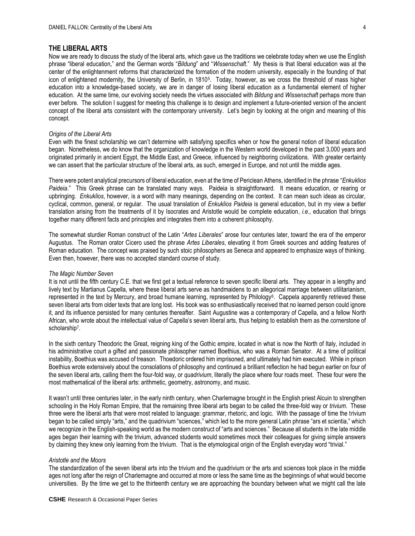## **THE LIBERAL ARTS**

Now we are ready to discuss the study of the liberal arts, which gave us the traditions we celebrate today when we use the English phrase "liberal education," and the German words "*Bildung*" and "*Wissenschaft*." My thesis is that liberal education was at the center of the enlightenment reforms that characterized the formation of the modern university, especially in the founding of that icon of enlightened modernity, the University of Berlin, in 1810<sup>5</sup> . Today, however, as we cross the threshold of mass higher education into a knowledge-based society, we are in danger of losing liberal education as a fundamental element of higher education. At the same time, our evolving society needs the virtues associated with *Bildung* and *Wissenschaft* perhaps more than ever before. The solution I suggest for meeting this challenge is to design and implement a future-oriented version of the ancient concept of the liberal arts consistent with the contemporary university. Let's begin by looking at the origin and meaning of this concept.

#### *Origins of the Liberal Arts*

Even with the finest scholarship we can't determine with satisfying specifics when or how the general notion of liberal education began. Nonetheless, we do know that the organization of knowledge in the Western world developed in the past 3,000 years and originated primarily in ancient Egypt, the Middle East, and Greece, influenced by neighboring civilizations. With greater certainty we can assert that the particular structure of the liberal arts, as such, emerged in Europe, and not until the middle ages.

There were potent analytical precursors of liberal education, even at the time of Periclean Athens, identified in the phrase "*Enkuklios Paideia*." This Greek phrase can be translated many ways. Paideia is straightforward. It means education, or rearing or upbringing. *Enkuklios*, however, is a word with many meanings, depending on the context. It can mean such ideas as circular, cyclical, common, general, or regular. The usual translation of *Enkuklios Paideia* is general education, but in my view a better translation arising from the treatments of it by Isocrates and Aristotle would be complete education, *i.e*., education that brings together many different facts and principles and integrates them into a coherent philosophy.

The somewhat sturdier Roman construct of the Latin "*Artes Liberales*" arose four centuries later, toward the era of the emperor Augustus. The Roman orator Cicero used the phrase *Artes Liberales*, elevating it from Greek sources and adding features of Roman education. The concept was praised by such stoic philosophers as Seneca and appeared to emphasize ways of thinking. Even then, however, there was no accepted standard course of study.

#### *The Magic Number Seven*

It is not until the fifth century C.E. that we first get a textual reference to seven specific liberal arts. They appear in a lengthy and lively text by Martianus Capella, where these liberal arts serve as handmaidens to an allegorical marriage between utilitarianism, represented in the text by Mercury, and broad humane learning, represented by Philology<sup>6</sup>. Cappela apparently retrieved these seven liberal arts from older texts that are long lost. His book was so enthusiastically received that no learned person could ignore it, and its influence persisted for many centuries thereafter. Saint Augustine was a contemporary of Capella, and a fellow North African, who wrote about the intellectual value of Capella's seven liberal arts, thus helping to establish them as the cornerstone of scholarship<sup>7</sup>.

In the sixth century Theodoric the Great, reigning king of the Gothic empire, located in what is now the North of Italy, included in his administrative court a gifted and passionate philosopher named Boethius, who was a Roman Senator. At a time of political instability, Boethius was accused of treason. Thoedoric ordered him imprisoned, and ultimately had him executed. While in prison Boethius wrote extensively about the consolations of philosophy and continued a brilliant reflection he had begun earlier on four of the seven liberal arts, calling them the four-fold way, or *quadrivium*, literally the place where four roads meet. These four were the most mathematical of the liberal arts: arithmetic, geometry, astronomy, and music.

It wasn't until three centuries later, in the early ninth century, when Charlemagne brought in the English priest Alcuin to strengthen schooling in the Holy Roman Empire, that the remaining three liberal arts began to be called the three-fold way or *trivium*. These three were the liberal arts that were most related to language: grammar, rhetoric, and logic. With the passage of time the trivium began to be called simply "arts," and the quadrivium "sciences," which led to the more general Latin phrase "ars et scientia," which we recognize in the English-speaking world as the modern construct of "arts and sciences." Because all students in the late middle ages began their learning with the trivium, advanced students would sometimes mock their colleagues for giving simple answers by claiming they knew only learning from the trivium. That is the etymological origin of the English everyday word "trivial."

#### *Aristotle and the Moors*

The standardization of the seven liberal arts into the trivium and the quadrivium or the arts and sciences took place in the middle ages not long after the reign of Charlemagne and occurred at more or less the same time as the beginnings of what would become universities. By the time we get to the thirteenth century we are approaching the boundary between what we might call the late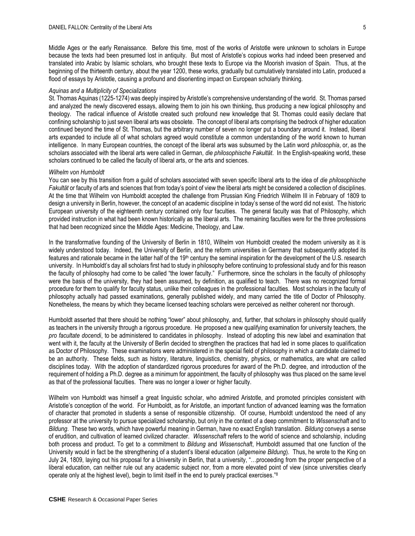Middle Ages or the early Renaissance. Before this time, most of the works of Aristotle were unknown to scholars in Europe because the texts had been presumed lost in antiquity. But most of Aristotle's copious works had indeed been preserved and translated into Arabic by Islamic scholars, who brought these texts to Europe via the Moorish invasion of Spain. Thus, at the beginning of the thirteenth century, about the year 1200, these works, gradually but cumulatively translated into Latin, produced a flood of essays by Aristotle, causing a profound and disorienting impact on European scholarly thinking.

#### *Aquinas and a Multiplicity of Specializations*

St. Thomas Aquinas (1225-1274) was deeply inspired by Aristotle's comprehensive understanding of the world. St. Thomas parsed and analyzed the newly discovered essays, allowing them to join his own thinking, thus producing a new logical philosophy and theology. The radical influence of Aristotle created such profound new knowledge that St. Thomas could easily declare that confining scholarship to just seven liberal arts was obsolete. The concept of liberal arts comprising the bedrock of higher education continued beyond the time of St. Thomas, but the arbitrary number of seven no longer put a boundary around it. Instead, liberal arts expanded to include all of what scholars agreed would constitute a common understanding of the world known to human intelligence. In many European countries, the concept of the liberal arts was subsumed by the Latin word *philosophia*, or, as the scholars associated with the liberal arts were called in German*, die philosophische Fakultät*. In the English-speaking world, these scholars continued to be called the faculty of liberal arts, or the arts and sciences.

### *Wilhelm von Humboldt*

You can see by this transition from a guild of scholars associated with seven specific liberal arts to the idea of *die philosophische Fakultät* or faculty of arts and sciences that from today's point of view the liberal arts might be considered a collection of disciplines. At the time that Wilhelm von Humboldt accepted the challenge from Prussian King Friedrich Wilhelm III in February of 1809 to design a university in Berlin, however, the concept of an academic discipline in today's sense of the word did not exist. The historic European university of the eighteenth century contained only four faculties. The general faculty was that of Philosophy, which provided instruction in what had been known historically as the liberal arts. The remaining faculties were for the three professions that had been recognized since the Middle Ages: Medicine, Theology, and Law.

In the transformative founding of the University of Berlin in 1810, Wilhelm von Humboldt created the modern university as it is widely understood today. Indeed, the University of Berlin, and the reform universities in Germany that subsequently adopted its features and rationale became in the latter half of the 19<sup>th</sup> century the seminal inspiration for the development of the U.S. research university. In Humboldt's day all scholars first had to study in philosophy before continuing to professional study and for this reason the faculty of philosophy had come to be called "the lower faculty." Furthermore, since the scholars in the faculty of philosophy were the basis of the university, they had been assumed, by definition, as qualified to teach. There was no recognized formal procedure for them to qualify for faculty status, unlike their colleagues in the professional faculties. Most scholars in the faculty of philosophy actually had passed examinations, generally published widely, and many carried the title of Doctor of Philosophy. Nonetheless, the means by which they became licensed teaching scholars were perceived as neither coherent nor thorough.

Humboldt asserted that there should be nothing "lower" about philosophy, and, further, that scholars in philosophy should qualify as teachers in the university through a rigorous procedure. He proposed a new qualifying examination for university teachers, the *pro facultate docendi*, to be administered to candidates in philosophy. Instead of adopting this new label and examination that went with it, the faculty at the University of Berlin decided to strengthen the practices that had led in some places to qualification as Doctor of Philosophy. These examinations were administered in the special field of philosophy in which a candidate claimed to be an authority. These fields, such as history, literature, linguistics, chemistry, physics, or mathematics, are what are called disciplines today. With the adoption of standardized rigorous procedures for award of the Ph.D. degree, and introduction of the requirement of holding a Ph.D. degree as a minimum for appointment, the faculty of philosophy was thus placed on the same level as that of the professional faculties. There was no longer a lower or higher faculty.

Wilhelm von Humboldt was himself a great linguistic scholar, who admired Aristotle, and promoted principles consistent with Aristotle's conception of the world. For Humboldt, as for Aristotle, an important function of advanced learning was the formation of character that promoted in students a sense of responsible citizenship. Of course, Humboldt understood the need of any professor at the university to pursue specialized scholarship, but only in the context of a deep commitment to *Wissenschaft* and to *Bildung*. These two words, which have powerful meaning in German, have no exact English translation. *Bildung* conveys a sense of erudition, and cultivation of learned civilized character. *Wissenschaft* refers to the world of science and scholarship, including both process and product. To get to a commitment to *Bildung* and *Wissenschaft*, Humboldt assumed that one function of the University would in fact be the strengthening of a student's liberal education (*allgemeine Bildung*). Thus, he wrote to the King on July 24, 1809, laying out his proposal for a University in Berlin, that a university, "…proceeding from the proper perspective of a liberal education, can neither rule out any academic subject nor, from a more elevated point of view (since universities clearly operate only at the highest level), begin to limit itself in the end to purely practical exercises."<sup>8</sup>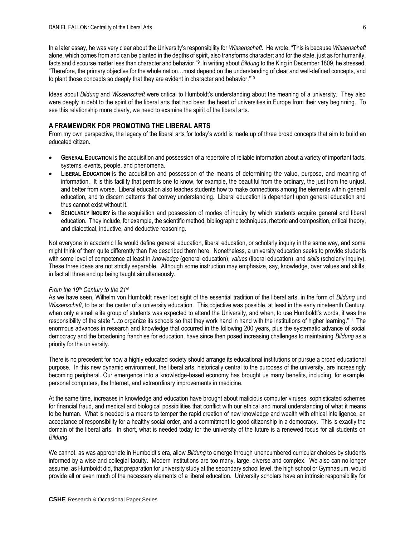In a later essay, he was very clear about the University's responsibility for *Wissenschaft*. He wrote, "This is because *Wissenschaft*  alone, which comes from and can be planted in the depths of spirit, also transforms character; and for the state, just as for humanity, facts and discourse matter less than character and behavior."<sup>9</sup> In writing about *Bildung* to the King in December 1809, he stressed, "Therefore, the primary objective for the whole nation…must depend on the understanding of clear and well-defined concepts, and to plant those concepts so deeply that they are evident in character and behavior."<sup>10</sup>

Ideas about *Bildung* and *Wissenschaft* were critical to Humboldt's understanding about the meaning of a university. They also were deeply in debt to the spirit of the liberal arts that had been the heart of universities in Europe from their very beginning. To see this relationship more clearly, we need to examine the spirit of the liberal arts.

# **A FRAMEWORK FOR PROMOTING THE LIBERAL ARTS**

From my own perspective, the legacy of the liberal arts for today's world is made up of three broad concepts that aim to build an educated citizen.

- **GENERAL EDUCATION** is the acquisition and possession of a repertoire of reliable information about a variety of important facts, systems, events, people, and phenomena.
- **LIBERAL EDUCATION** is the acquisition and possession of the means of determining the value, purpose, and meaning of information. It is this facility that permits one to know, for example, the beautiful from the ordinary, the just from the unjust, and better from worse. Liberal education also teaches students how to make connections among the elements within general education, and to discern patterns that convey understanding. Liberal education is dependent upon general education and thus cannot exist without it.
- **SCHOLARLY INQUIRY** is the acquisition and possession of modes of inquiry by which students acquire general and liberal education. They include, for example, the scientific method, bibliographic techniques, rhetoric and composition, critical theory, and dialectical, inductive, and deductive reasoning.

Not everyone in academic life would define general education, liberal education, or scholarly inquiry in the same way, and some might think of them quite differently than I've described them here. Nonetheless, a university education seeks to provide students with some level of competence at least in *knowledge* (general education), *values* (liberal education), and *skills* (scholarly inquiry). These three ideas are not strictly separable. Although some instruction may emphasize, say, knowledge, over values and skills, in fact all three end up being taught simultaneously.

#### *From the 19th Century to the 21st*

As we have seen, Wilhelm von Humboldt never lost sight of the essential tradition of the liberal arts, in the form of *Bildung* und *Wissenschaft*, to be at the center of a university education. This objective was possible, at least in the early nineteenth Century, when only a small elite group of students was expected to attend the University, and when, to use Humboldt's words, it was the responsibility of the state "...to organize its schools so that they work hand in hand with the institutions of higher learning." <sup>11</sup> The enormous advances in research and knowledge that occurred in the following 200 years, plus the systematic advance of social democracy and the broadening franchise for education, have since then posed increasing challenges to maintaining *Bildung* as a priority for the university.

There is no precedent for how a highly educated society should arrange its educational institutions or pursue a broad educational purpose. In this new dynamic environment, the liberal arts, historically central to the purposes of the university, are increasingly becoming peripheral. Our emergence into a knowledge-based economy has brought us many benefits, including, for example, personal computers, the Internet, and extraordinary improvements in medicine.

At the same time, increases in knowledge and education have brought about malicious computer viruses, sophisticated schemes for financial fraud, and medical and biological possibilities that conflict with our ethical and moral understanding of what it means to be human. What is needed is a means to temper the rapid creation of new knowledge and wealth with ethical intelligence, an acceptance of responsibility for a healthy social order, and a commitment to good citizenship in a democracy. This is exactly the domain of the liberal arts. In short, what is needed today for the university of the future is a renewed focus for all students on *Bildung*.

We cannot, as was appropriate in Humboldt's era, allow *Bildung* to emerge through unencumbered curricular choices by students informed by a wise and collegial faculty. Modern institutions are too many, large, diverse and complex. We also can no longer assume, as Humboldt did, that preparation for university study at the secondary school level, the high school or Gymnasium, would provide all or even much of the necessary elements of a liberal education. University scholars have an intrinsic responsibility for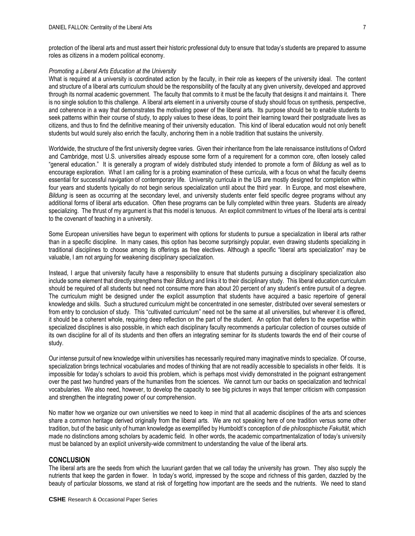protection of the liberal arts and must assert their historic professional duty to ensure that today's students are prepared to assume roles as citizens in a modern political economy.

#### *Promoting a Liberal Arts Education at the University*

What is required at a university is coordinated action by the faculty, in their role as keepers of the university ideal. The content and structure of a liberal arts curriculum should be the responsibility of the faculty at any given university, developed and approved through its normal academic government. The faculty that commits to it must be the faculty that designs it and maintains it. There is no single solution to this challenge. A liberal arts element in a university course of study should focus on synthesis, perspective, and coherence in a way that demonstrates the motivating power of the liberal arts. Its purpose should be to enable students to seek patterns within their course of study, to apply values to these ideas, to point their learning toward their postgraduate lives as citizens, and thus to find the definitive meaning of their university education. This kind of liberal education would not only benefit students but would surely also enrich the faculty, anchoring them in a noble tradition that sustains the university.

Worldwide, the structure of the first university degree varies. Given their inheritance from the late renaissance institutions of Oxford and Cambridge, most U.S. universities already espouse some form of a requirement for a common core, often loosely called "general education." It is generally a program of widely distributed study intended to promote a form of *Bildung* as well as to encourage exploration. What I am calling for is a probing examination of these curricula, with a focus on what the faculty deems essential for successful navigation of contemporary life. University curricula in the US are mostly designed for completion within four years and students typically do not begin serious specialization until about the third year. In Europe, and most elsewhere, *Bildung* is seen as occurring at the secondary level, and university students enter field specific degree programs without any additional forms of liberal arts education. Often these programs can be fully completed within three years. Students are already specializing. The thrust of my argument is that this model is tenuous. An explicit commitment to virtues of the liberal arts is central to the covenant of teaching in a university.

Some European universities have begun to experiment with options for students to pursue a specialization in liberal arts rather than in a specific discipline. In many cases, this option has become surprisingly popular, even drawing students specializing in traditional disciplines to choose among its offerings as free electives. Although a specific "liberal arts specialization" may be valuable, I am not arguing for weakening disciplinary specialization.

Instead, I argue that university faculty have a responsibility to ensure that students pursuing a disciplinary specialization also include some element that directly strengthens their *Bildung* and links it to their disciplinary study. This liberal education curriculum should be required of all students but need not consume more than about 20 percent of any student's entire pursuit of a degree. The curriculum might be designed under the explicit assumption that students have acquired a basic repertoire of general knowledge and skills. Such a structured curriculum might be concentrated in one semester, distributed over several semesters or from entry to conclusion of study. This "cultivated curriculum" need not be the same at all universities, but wherever it is offered, it should be a coherent whole, requiring deep reflection on the part of the student. An option that defers to the expertise within specialized disciplines is also possible, in which each disciplinary faculty recommends a particular collection of courses outside of its own discipline for all of its students and then offers an integrating seminar for its students towards the end of their course of study.

Our intense pursuit of new knowledge within universities has necessarily required many imaginative minds to specialize. Of course, specialization brings technical vocabularies and modes of thinking that are not readily accessible to specialists in other fields. It is impossible for today's scholars to avoid this problem, which is perhaps most vividly demonstrated in the poignant estrangement over the past two hundred years of the humanities from the sciences. We cannot turn our backs on specialization and technical vocabularies. We also need, however, to develop the capacity to see big pictures in ways that temper criticism with compassion and strengthen the integrating power of our comprehension.

No matter how we organize our own universities we need to keep in mind that all academic disciplines of the arts and sciences share a common heritage derived originally from the liberal arts. We are not speaking here of one tradition versus some other tradition, but of the basic unity of human knowledge as exemplified by Humboldt's conception of *die philosophische Fakultät*, which made no distinctions among scholars by academic field. In other words, the academic compartmentalization of today's university must be balanced by an explicit university-wide commitment to understanding the value of the liberal arts.

## **CONCLUSION**

The liberal arts are the seeds from which the luxuriant garden that we call today the university has grown. They also supply the nutrients that keep the garden in flower. In today's world, impressed by the scope and richness of this garden, dazzled by the beauty of particular blossoms, we stand at risk of forgetting how important are the seeds and the nutrients. We need to stand